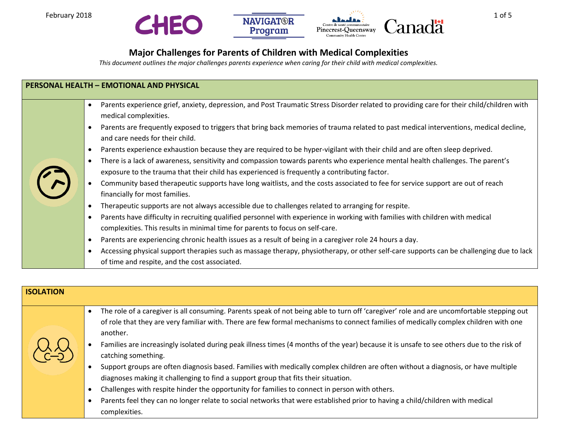



## **Major Challenges for Parents of Children with Medical Complexities**

*This document outlines the major challenges parents experience when caring for their child with medical complexities.*

| <b>PERSONAL HEALTH - EMOTIONAL AND PHYSICAL</b> |                                                                                                                                                                                                                                                                                                                                                                                                                                                                                                                                                                                                                                                                                                                                                                                                                                                                                                                                                                                                                                                                                                                                                                                                                                                                                                                                                                                                                                                                                                                                              |  |
|-------------------------------------------------|----------------------------------------------------------------------------------------------------------------------------------------------------------------------------------------------------------------------------------------------------------------------------------------------------------------------------------------------------------------------------------------------------------------------------------------------------------------------------------------------------------------------------------------------------------------------------------------------------------------------------------------------------------------------------------------------------------------------------------------------------------------------------------------------------------------------------------------------------------------------------------------------------------------------------------------------------------------------------------------------------------------------------------------------------------------------------------------------------------------------------------------------------------------------------------------------------------------------------------------------------------------------------------------------------------------------------------------------------------------------------------------------------------------------------------------------------------------------------------------------------------------------------------------------|--|
|                                                 | Parents experience grief, anxiety, depression, and Post Traumatic Stress Disorder related to providing care for their child/children with<br>medical complexities.<br>Parents are frequently exposed to triggers that bring back memories of trauma related to past medical interventions, medical decline,<br>and care needs for their child.<br>Parents experience exhaustion because they are required to be hyper-vigilant with their child and are often sleep deprived.<br>$\bullet$<br>There is a lack of awareness, sensitivity and compassion towards parents who experience mental health challenges. The parent's<br>$\bullet$<br>exposure to the trauma that their child has experienced is frequently a contributing factor.<br>Community based therapeutic supports have long waitlists, and the costs associated to fee for service support are out of reach<br>financially for most families.<br>Therapeutic supports are not always accessible due to challenges related to arranging for respite.<br>Parents have difficulty in recruiting qualified personnel with experience in working with families with children with medical<br>complexities. This results in minimal time for parents to focus on self-care.<br>Parents are experiencing chronic health issues as a result of being in a caregiver role 24 hours a day.<br>Accessing physical support therapies such as massage therapy, physiotherapy, or other self-care supports can be challenging due to lack<br>of time and respite, and the cost associated. |  |

## **ISOLATION**

- The role of a caregiver is all consuming. Parents speak of not being able to turn off 'caregiver' role and are uncomfortable stepping out of role that they are very familiar with. There are few formal mechanisms to connect families of medically complex children with one another.
- Families are increasingly isolated during peak illness times (4 months of the year) because it is unsafe to see others due to the risk of catching something.
- Support groups are often diagnosis based. Families with medically complex children are often without a diagnosis, or have multiple diagnoses making it challenging to find a support group that fits their situation.
- Challenges with respite hinder the opportunity for families to connect in person with others.
- Parents feel they can no longer relate to social networks that were established prior to having a child/children with medical complexities.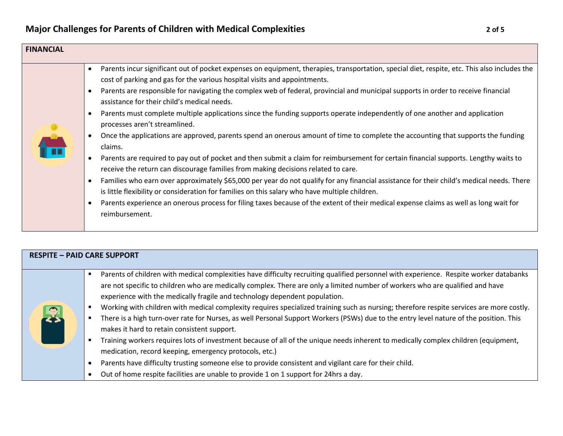

| <b>RESPITE - PAID CARE SUPPORT</b> |                                                                                                                                                                                                                                                                                                                                                                                                                                                                                                                                                                                                                                                                                                                                                                                                                                                                                                                                                                                                                                                                                              |  |
|------------------------------------|----------------------------------------------------------------------------------------------------------------------------------------------------------------------------------------------------------------------------------------------------------------------------------------------------------------------------------------------------------------------------------------------------------------------------------------------------------------------------------------------------------------------------------------------------------------------------------------------------------------------------------------------------------------------------------------------------------------------------------------------------------------------------------------------------------------------------------------------------------------------------------------------------------------------------------------------------------------------------------------------------------------------------------------------------------------------------------------------|--|
| 2                                  | Parents of children with medical complexities have difficulty recruiting qualified personnel with experience. Respite worker databanks<br>are not specific to children who are medically complex. There are only a limited number of workers who are qualified and have<br>experience with the medically fragile and technology dependent population.<br>Working with children with medical complexity requires specialized training such as nursing; therefore respite services are more costly.<br>There is a high turn-over rate for Nurses, as well Personal Support Workers (PSWs) due to the entry level nature of the position. This<br>makes it hard to retain consistent support.<br>Training workers requires lots of investment because of all of the unique needs inherent to medically complex children (equipment,<br>medication, record keeping, emergency protocols, etc.)<br>Parents have difficulty trusting someone else to provide consistent and vigilant care for their child.<br>Out of home respite facilities are unable to provide 1 on 1 support for 24hrs a day. |  |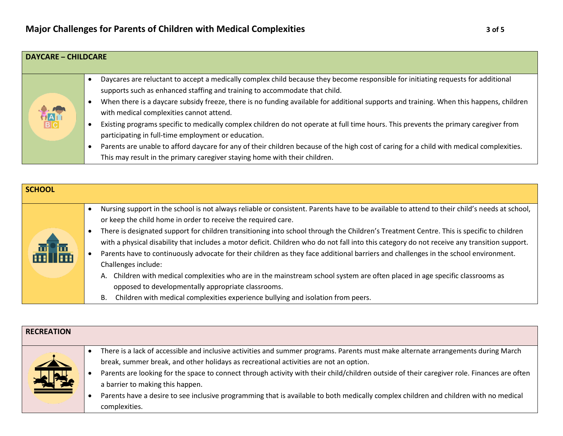| <b>DAYCARE - CHILDCARE</b> |                                                                                                                                                                                                                                                                                                                                                                                                                                                                                                                                                                                                                                                                                                                                                                                                                                 |
|----------------------------|---------------------------------------------------------------------------------------------------------------------------------------------------------------------------------------------------------------------------------------------------------------------------------------------------------------------------------------------------------------------------------------------------------------------------------------------------------------------------------------------------------------------------------------------------------------------------------------------------------------------------------------------------------------------------------------------------------------------------------------------------------------------------------------------------------------------------------|
| <b>BRANCH</b>              | Daycares are reluctant to accept a medically complex child because they become responsible for initiating requests for additional<br>supports such as enhanced staffing and training to accommodate that child.<br>When there is a daycare subsidy freeze, there is no funding available for additional supports and training. When this happens, children<br>with medical complexities cannot attend.<br>Existing programs specific to medically complex children do not operate at full time hours. This prevents the primary caregiver from<br>participating in full-time employment or education.<br>Parents are unable to afford daycare for any of their children because of the high cost of caring for a child with medical complexities.<br>This may result in the primary caregiver staying home with their children. |

| <b>SCHOOL</b> |                                                                                                                                                                                                                                                                                                                                                                                                                                                                                                                                                                                                                                                 |  |
|---------------|-------------------------------------------------------------------------------------------------------------------------------------------------------------------------------------------------------------------------------------------------------------------------------------------------------------------------------------------------------------------------------------------------------------------------------------------------------------------------------------------------------------------------------------------------------------------------------------------------------------------------------------------------|--|
| ala           | Nursing support in the school is not always reliable or consistent. Parents have to be available to attend to their child's needs at school,<br>or keep the child home in order to receive the required care.                                                                                                                                                                                                                                                                                                                                                                                                                                   |  |
|               | There is designated support for children transitioning into school through the Children's Treatment Centre. This is specific to children<br>with a physical disability that includes a motor deficit. Children who do not fall into this category do not receive any transition support.<br>Parents have to continuously advocate for their children as they face additional barriers and challenges in the school environment.<br>Challenges include:<br>Children with medical complexities who are in the mainstream school system are often placed in age specific classrooms as<br>А.<br>opposed to developmentally appropriate classrooms. |  |
|               | Children with medical complexities experience bullying and isolation from peers.                                                                                                                                                                                                                                                                                                                                                                                                                                                                                                                                                                |  |

| <b>RECREATION</b>           |                                                                                                                                                                                                                                                                                                                                                                                                                                                                                                                                                                        |
|-----------------------------|------------------------------------------------------------------------------------------------------------------------------------------------------------------------------------------------------------------------------------------------------------------------------------------------------------------------------------------------------------------------------------------------------------------------------------------------------------------------------------------------------------------------------------------------------------------------|
| The<br>$\frac{1}{\sqrt{2}}$ | There is a lack of accessible and inclusive activities and summer programs. Parents must make alternate arrangements during March<br>break, summer break, and other holidays as recreational activities are not an option.<br>Parents are looking for the space to connect through activity with their child/children outside of their caregiver role. Finances are often<br>a barrier to making this happen.<br>Parents have a desire to see inclusive programming that is available to both medically complex children and children with no medical<br>complexities. |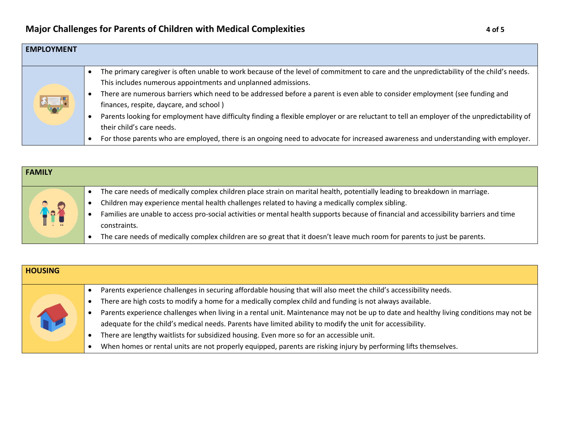| <b>EMPLOYMENT</b> |                                                                                                                                                                                                                                                                                                                                                                                                                                                                                                                                                                                                                                                                                                    |
|-------------------|----------------------------------------------------------------------------------------------------------------------------------------------------------------------------------------------------------------------------------------------------------------------------------------------------------------------------------------------------------------------------------------------------------------------------------------------------------------------------------------------------------------------------------------------------------------------------------------------------------------------------------------------------------------------------------------------------|
|                   | The primary caregiver is often unable to work because of the level of commitment to care and the unpredictability of the child's needs.<br>This includes numerous appointments and unplanned admissions.<br>There are numerous barriers which need to be addressed before a parent is even able to consider employment (see funding and<br>finances, respite, daycare, and school)<br>Parents looking for employment have difficulty finding a flexible employer or are reluctant to tell an employer of the unpredictability of<br>their child's care needs.<br>For those parents who are employed, there is an ongoing need to advocate for increased awareness and understanding with employer. |

| <b>FAMILY</b> |                                                                                                                                        |
|---------------|----------------------------------------------------------------------------------------------------------------------------------------|
|               | The care needs of medically complex children place strain on marital health, potentially leading to breakdown in marriage.             |
|               | Children may experience mental health challenges related to having a medically complex sibling.                                        |
| <b>Rep</b>    | Families are unable to access pro-social activities or mental health supports because of financial and accessibility barriers and time |
|               | constraints.                                                                                                                           |
|               | The care needs of medically complex children are so great that it doesn't leave much room for parents to just be parents.              |

| <b>HOUSING</b> |                                                                                                                                        |
|----------------|----------------------------------------------------------------------------------------------------------------------------------------|
|                | Parents experience challenges in securing affordable housing that will also meet the child's accessibility needs.                      |
|                | There are high costs to modify a home for a medically complex child and funding is not always available.                               |
|                | Parents experience challenges when living in a rental unit. Maintenance may not be up to date and healthy living conditions may not be |
|                | adequate for the child's medical needs. Parents have limited ability to modify the unit for accessibility.                             |
|                | There are lengthy waitlists for subsidized housing. Even more so for an accessible unit.                                               |
|                | When homes or rental units are not properly equipped, parents are risking injury by performing lifts themselves.                       |